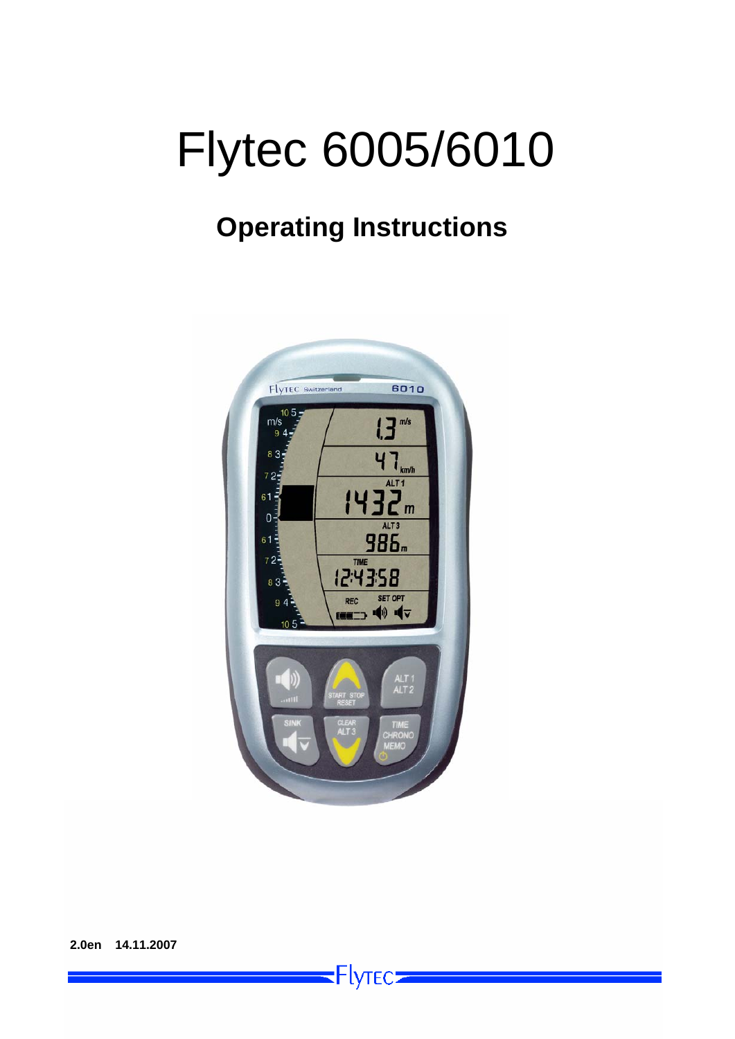# Flytec 6005/6010

## **Operating Instructions**



 $\blacksquare$ Flytec $\blacksquare$ 

**2.0en 14.11.2007**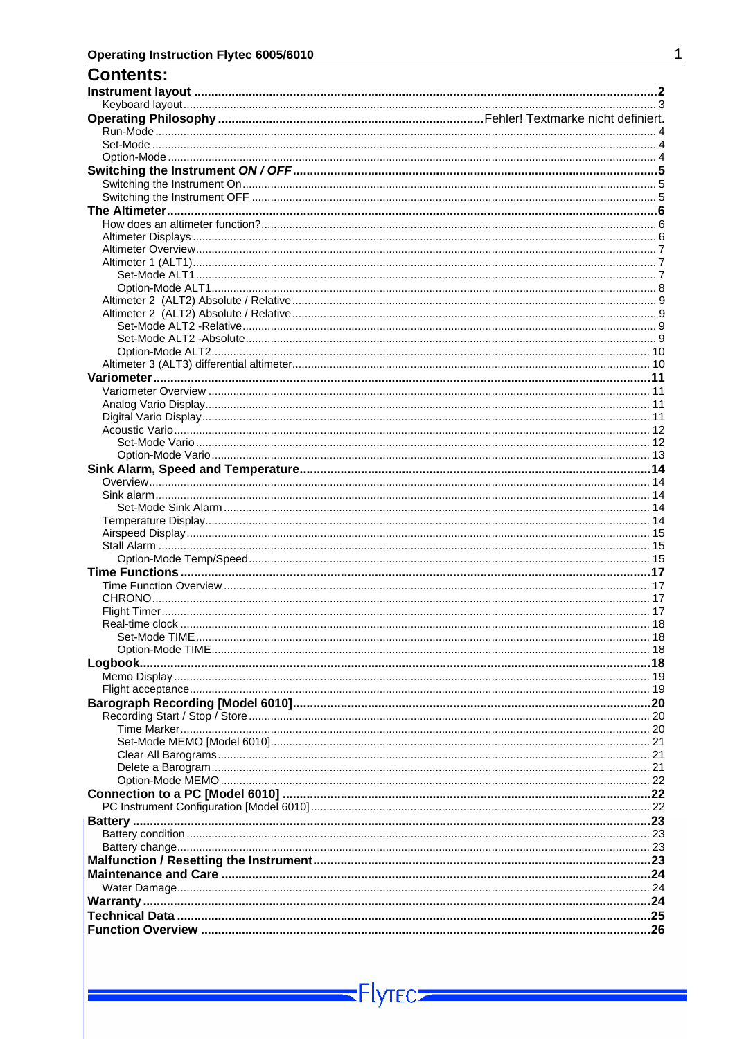| CONTENTS. |  |
|-----------|--|
|           |  |
|           |  |
|           |  |
|           |  |
|           |  |
|           |  |
|           |  |
|           |  |
|           |  |
|           |  |
|           |  |
|           |  |
|           |  |
|           |  |
|           |  |
|           |  |
|           |  |
|           |  |
|           |  |
|           |  |
|           |  |
|           |  |
|           |  |
|           |  |
|           |  |
|           |  |
|           |  |
|           |  |
|           |  |
|           |  |
|           |  |
|           |  |
|           |  |
|           |  |
|           |  |
|           |  |
|           |  |
|           |  |
|           |  |
|           |  |
|           |  |
|           |  |
|           |  |
|           |  |
|           |  |
|           |  |
|           |  |
|           |  |
|           |  |
|           |  |
|           |  |
|           |  |
|           |  |
|           |  |
|           |  |
|           |  |
|           |  |
|           |  |
|           |  |
|           |  |
|           |  |
|           |  |
|           |  |
|           |  |
|           |  |
|           |  |
|           |  |
|           |  |

 $Flyrec$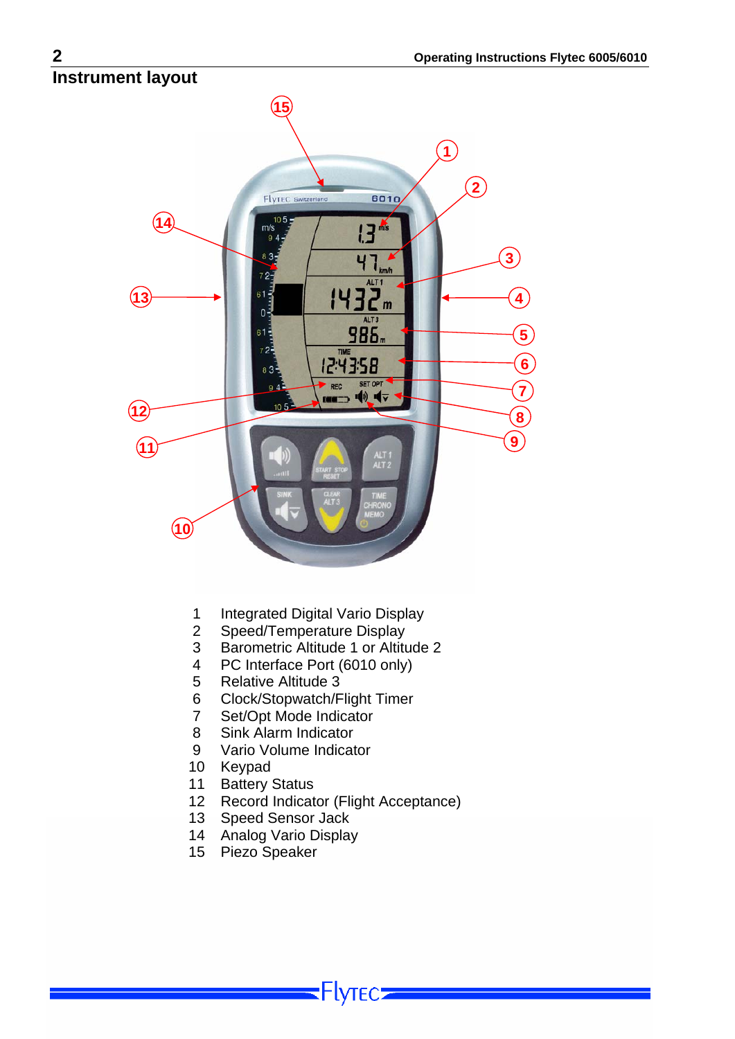## <span id="page-2-0"></span>**Instrument layout**



- 1 Integrated Digital Vario Display<br>2 Speed/Temperature Display
- Speed/Temperature Display
- 3 Barometric Altitude 1 or Altitude 2
- 4 PC Interface Port (6010 only)
- 5 Relative Altitude 3
- 6 Clock/Stopwatch/Flight Timer<br>7 Set/Opt Mode Indicator
- Set/Opt Mode Indicator
- 8 Sink Alarm Indicator
- 9 Vario Volume Indicator
- 10 Keypad
- 11 Battery Status
- 12 Record Indicator (Flight Acceptance)

Flyтєс**∍** 

- 13 Speed Sensor Jack
- 14 Analog Vario Display
- 15 Piezo Speaker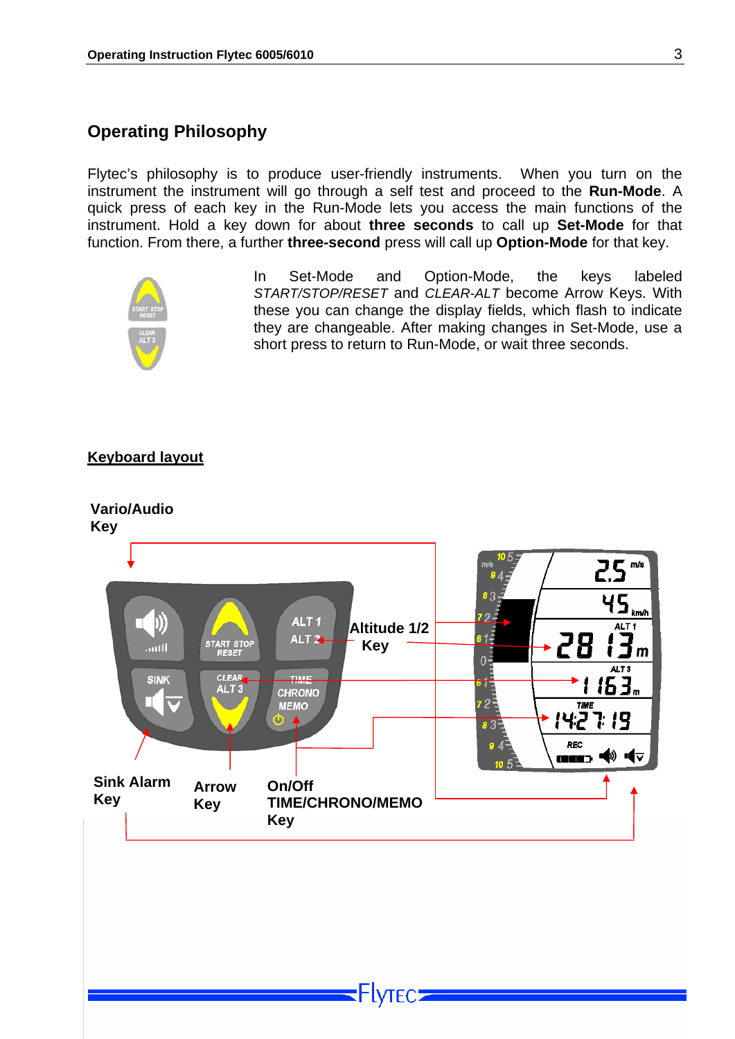#### <span id="page-3-0"></span>**Operating Philosophy**

Flytec's philosophy is to produce user-friendly instruments. When you turn on the instrument the instrument will go through a self test and proceed to the **Run-Mode**. A quick press of each key in the Run-Mode lets you access the main functions of the instrument. Hold a key down for about **three seconds** to call up **Set-Mode** for that function. From there, a further **three-second** press will call up **Option-Mode** for that key.



In Set-Mode and Option-Mode, the keys labeled *START/STOP/RESET* and *CLEAR-ALT* become Arrow Keys. With these you can change the display fields, which flash to indicate they are changeable. After making changes in Set-Mode, use a short press to return to Run-Mode, or wait three seconds.

#### **Keyboard layout**



**Flytec:**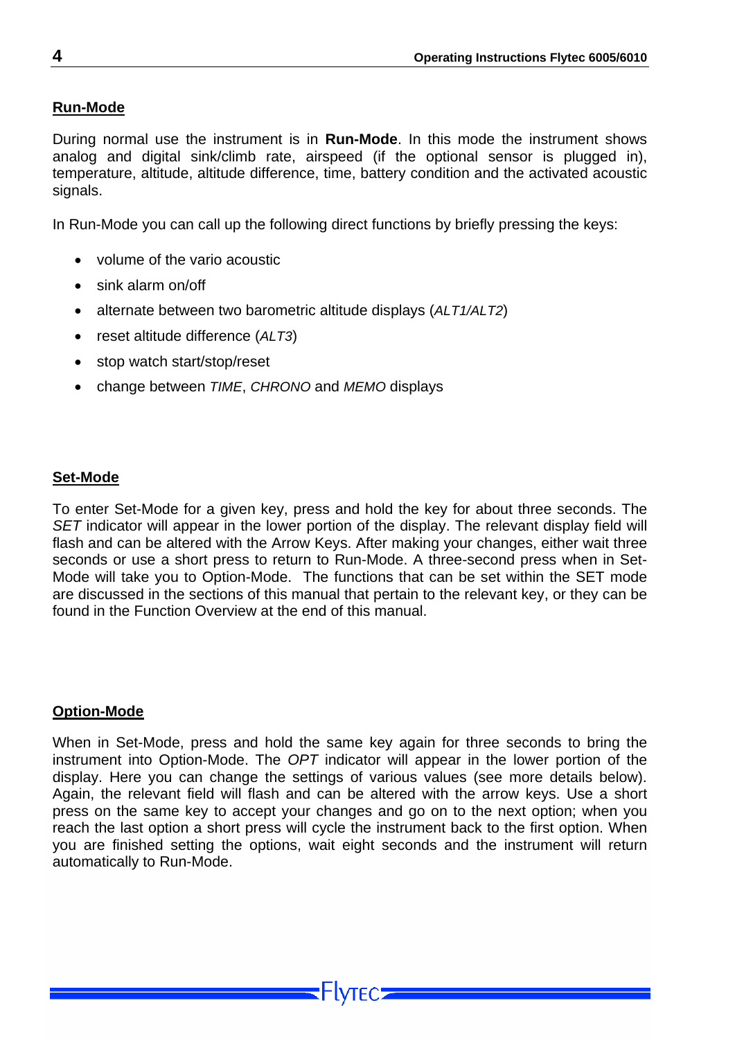#### <span id="page-4-0"></span>**Run-Mode**

During normal use the instrument is in **Run-Mode**. In this mode the instrument shows analog and digital sink/climb rate, airspeed (if the optional sensor is plugged in), temperature, altitude, altitude difference, time, battery condition and the activated acoustic signals.

In Run-Mode you can call up the following direct functions by briefly pressing the keys:

- volume of the vario acoustic
- sink alarm on/off
- alternate between two barometric altitude displays (*ALT1/ALT2*)
- reset altitude difference (*ALT3*)
- stop watch start/stop/reset
- change between *TIME*, *CHRONO* and *MEMO* displays

#### **Set-Mode**

To enter Set-Mode for a given key, press and hold the key for about three seconds. The *SET* indicator will appear in the lower portion of the display. The relevant display field will flash and can be altered with the Arrow Keys. After making your changes, either wait three seconds or use a short press to return to Run-Mode. A three-second press when in Set-Mode will take you to Option-Mode. The functions that can be set within the SET mode are discussed in the sections of this manual that pertain to the relevant key, or they can be found in the Function Overview at the end of this manual.

#### **Option-Mode**

When in Set-Mode, press and hold the same key again for three seconds to bring the instrument into Option-Mode. The *OPT* indicator will appear in the lower portion of the display. Here you can change the settings of various values (see more details below). Again, the relevant field will flash and can be altered with the arrow keys. Use a short press on the same key to accept your changes and go on to the next option; when you reach the last option a short press will cycle the instrument back to the first option. When you are finished setting the options, wait eight seconds and the instrument will return automatically to Run-Mode.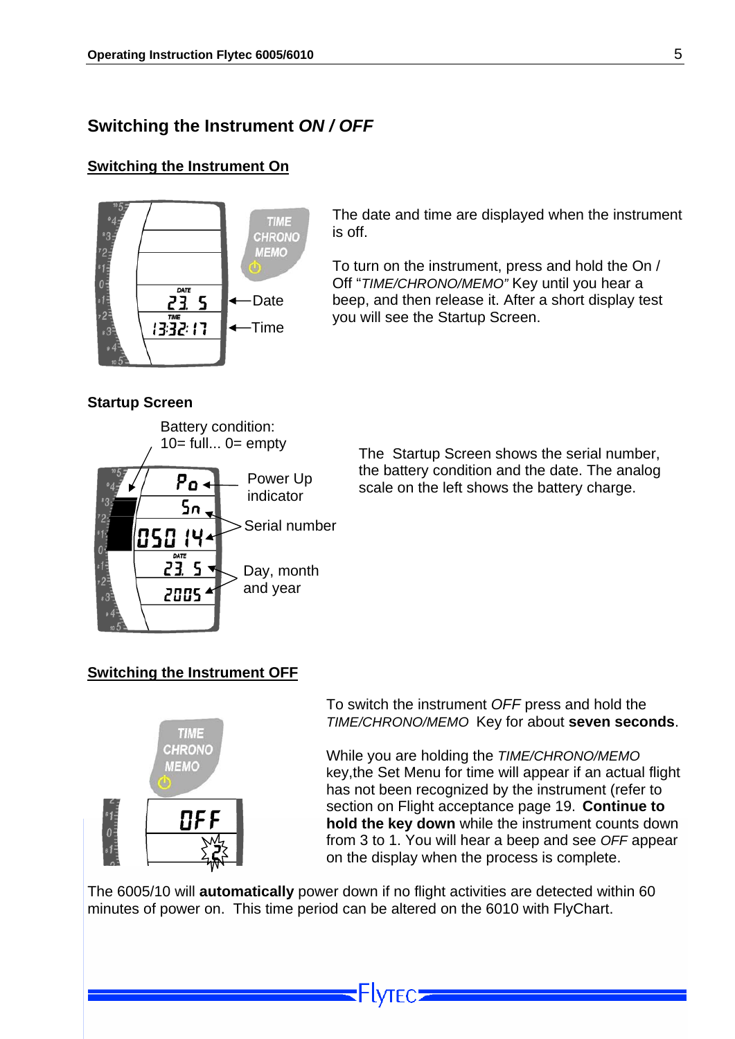#### <span id="page-5-0"></span>**Switching the Instrument** *ON / OFF*

#### **Switching the Instrument On**



The date and time are displayed when the instrument is off.

To turn on the instrument, press and hold the On / Off "*TIME/CHRONO/MEMO"* Key until you hear a beep, and then release it. After a short display test you will see the Startup Screen.

#### **Startup Screen**



The Startup Screen shows the serial number, the battery condition and the date. The analog scale on the left shows the battery charge.

#### **Switching the Instrument OFF**



To switch the instrument *OFF* press and hold the *TIME/CHRONO/MEMO* Key for about **seven seconds**.

While you are holding the *TIME/CHRONO/MEMO*  key,the Set Menu for time will appear if an actual flight has not been recognized by the instrument (refer to section on [Flight acceptance](#page-19-1) page [19](#page-19-1). **Continue to hold the key down** while the instrument counts down from 3 to 1. You will hear a beep and see *OFF* appear on the display when the process is complete.

The 6005/10 will **automatically** power down if no flight activities are detected within 60 minutes of power on. This time period can be altered on the 6010 with FlyChart.

**Flytec:**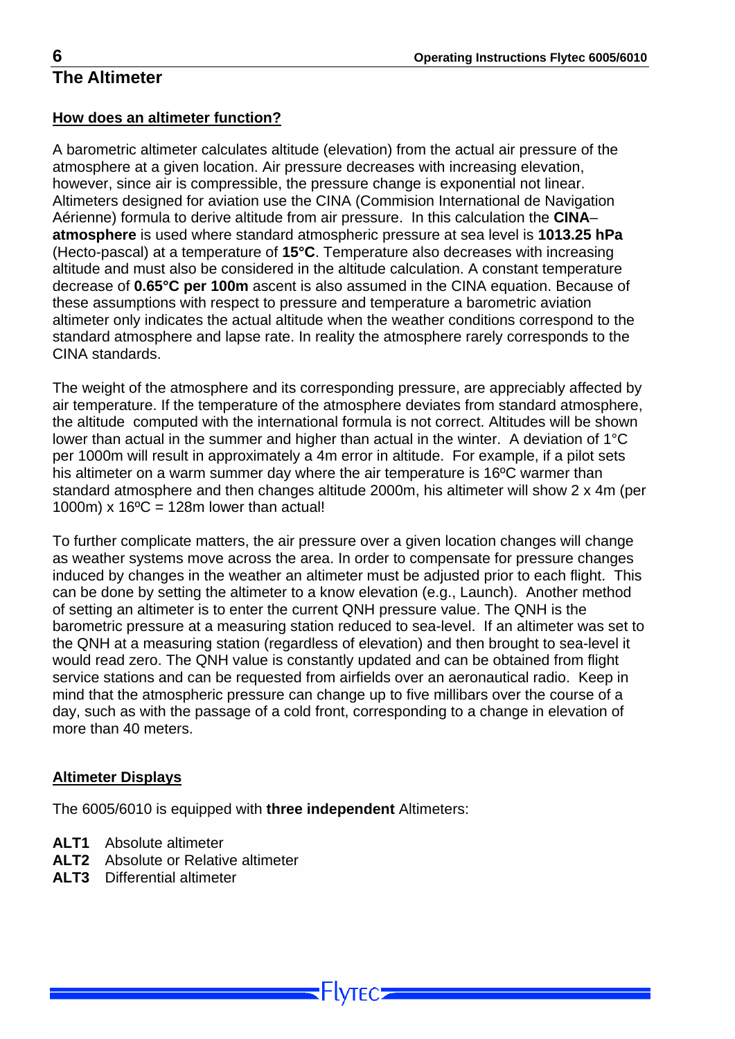#### <span id="page-6-0"></span>**How does an altimeter function?**

A barometric altimeter calculates altitude (elevation) from the actual air pressure of the atmosphere at a given location. Air pressure decreases with increasing elevation, however, since air is compressible, the pressure change is exponential not linear. Altimeters designed for aviation use the CINA (Commision International de Navigation Aérienne) formula to derive altitude from air pressure. In this calculation the **CINA**– **atmosphere** is used where standard atmospheric pressure at sea level is **1013.25 hPa** (Hecto-pascal) at a temperature of **15°C**. Temperature also decreases with increasing altitude and must also be considered in the altitude calculation. A constant temperature decrease of **0.65°C per 100m** ascent is also assumed in the CINA equation. Because of these assumptions with respect to pressure and temperature a barometric aviation altimeter only indicates the actual altitude when the weather conditions correspond to the standard atmosphere and lapse rate. In reality the atmosphere rarely corresponds to the CINA standards.

The weight of the atmosphere and its corresponding pressure, are appreciably affected by air temperature. If the temperature of the atmosphere deviates from standard atmosphere, the altitude computed with the international formula is not correct. Altitudes will be shown lower than actual in the summer and higher than actual in the winter. A deviation of 1°C per 1000m will result in approximately a 4m error in altitude. For example, if a pilot sets his altimeter on a warm summer day where the air temperature is 16ºC warmer than standard atmosphere and then changes altitude 2000m, his altimeter will show 2 x 4m (per 1000m) x  $16^{\circ}$ C = 128m lower than actual!

To further complicate matters, the air pressure over a given location changes will change as weather systems move across the area. In order to compensate for pressure changes induced by changes in the weather an altimeter must be adjusted prior to each flight. This can be done by setting the altimeter to a know elevation (e.g., Launch). Another method of setting an altimeter is to enter the current QNH pressure value. The QNH is the barometric pressure at a measuring station reduced to sea-level. If an altimeter was set to the QNH at a measuring station (regardless of elevation) and then brought to sea-level it would read zero. The QNH value is constantly updated and can be obtained from flight service stations and can be requested from airfields over an aeronautical radio. Keep in mind that the atmospheric pressure can change up to five millibars over the course of a day, such as with the passage of a cold front, corresponding to a change in elevation of more than 40 meters.

-IVTFC.

#### **Altimeter Displays**

The 6005/6010 is equipped with **three independent** Altimeters:

- **ALT1** Absolute altimeter
- **ALT2** Absolute or Relative altimeter
- **ALT3** Differential altimeter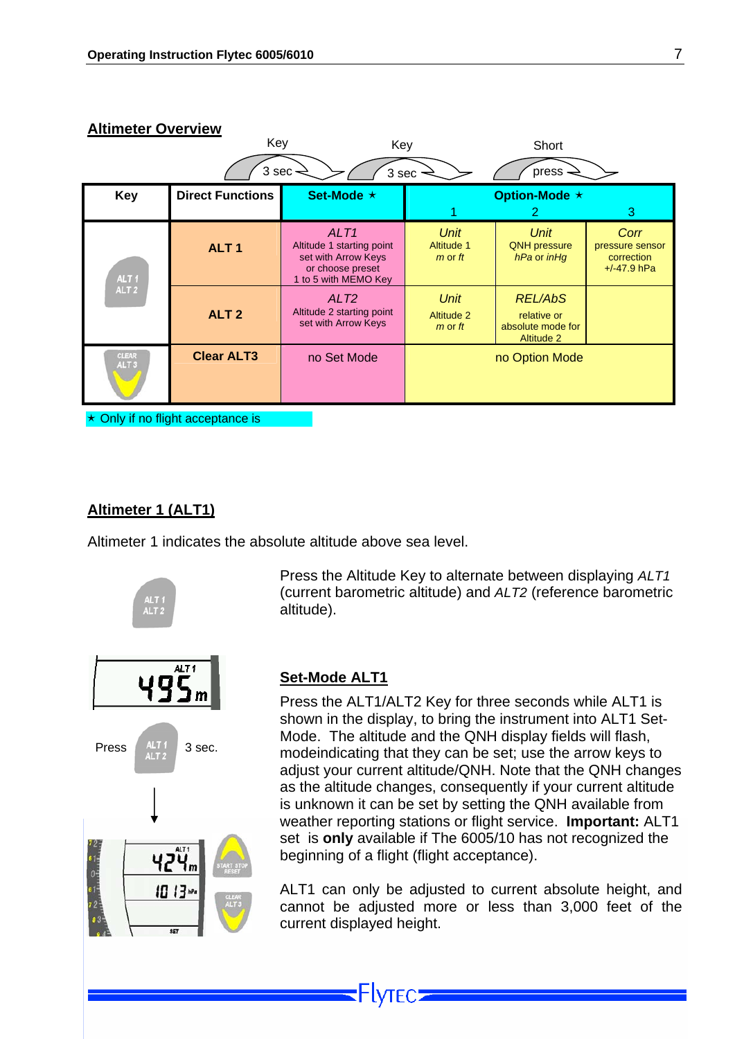#### <span id="page-7-0"></span>**Altimeter Overview**

|                           | Key                               | Key                                                                                                              |                                                 | Short                                                                   |                                                        |
|---------------------------|-----------------------------------|------------------------------------------------------------------------------------------------------------------|-------------------------------------------------|-------------------------------------------------------------------------|--------------------------------------------------------|
|                           | $3$ sec-                          | 3 sec                                                                                                            |                                                 | press                                                                   |                                                        |
| <b>Key</b>                | <b>Direct Functions</b>           | Set-Mode ★                                                                                                       |                                                 | Option-Mode ★                                                           |                                                        |
|                           |                                   |                                                                                                                  |                                                 |                                                                         | 3                                                      |
| ALT <sub>1</sub>          | ALT <sub>1</sub>                  | ALT <sub>1</sub><br>Altitude 1 starting point<br>set with Arrow Keys<br>or choose preset<br>1 to 5 with MEMO Key | Unit<br>Altitude 1<br>$m$ or $ft$               | Unit<br><b>QNH</b> pressure<br>hPa or inHg                              | Corr<br>pressure sensor<br>correction<br>$+/-47.9$ hPa |
| ALT <sub>2</sub>          | ALT <sub>2</sub>                  | ALT <sub>2</sub><br>Altitude 2 starting point<br>set with Arrow Keys                                             | <b>Unit</b><br><b>Altitude 2</b><br>$m$ or $ft$ | <b>REL/AbS</b><br>relative or<br>absolute mode for<br><b>Altitude 2</b> |                                                        |
| CLEAR<br>ALT <sub>3</sub> | <b>Clear ALT3</b>                 | no Set Mode                                                                                                      |                                                 | no Option Mode                                                          |                                                        |
|                           | ★ Only if no flight acceptance is |                                                                                                                  |                                                 |                                                                         |                                                        |

#### **Altimeter 1 (ALT1)**

Altimeter 1 indicates the absolute altitude above sea level.



#### **Set-Mode ALT1**

altitude).

Press the ALT1/ALT2 Key for three seconds while ALT1 is shown in the display, to bring the instrument into ALT1 Set-Mode. The altitude and the QNH display fields will flash, modeindicating that they can be set; use the arrow keys to adjust your current altitude/QNH. Note that the QNH changes as the altitude changes, consequently if your current altitude is unknown it can be set by setting the QNH available from weather reporting stations or flight service. **Important:** ALT1 set is **only** available if The 6005/10 has not recognized the beginning of a flight (flight acceptance).

Press the Altitude Key to alternate between displaying *ALT1*  (current barometric altitude) and *ALT2* (reference barometric

ALT1 can only be adjusted to current absolute height, and cannot be adjusted more or less than 3,000 feet of the current displayed height.

Flyrec: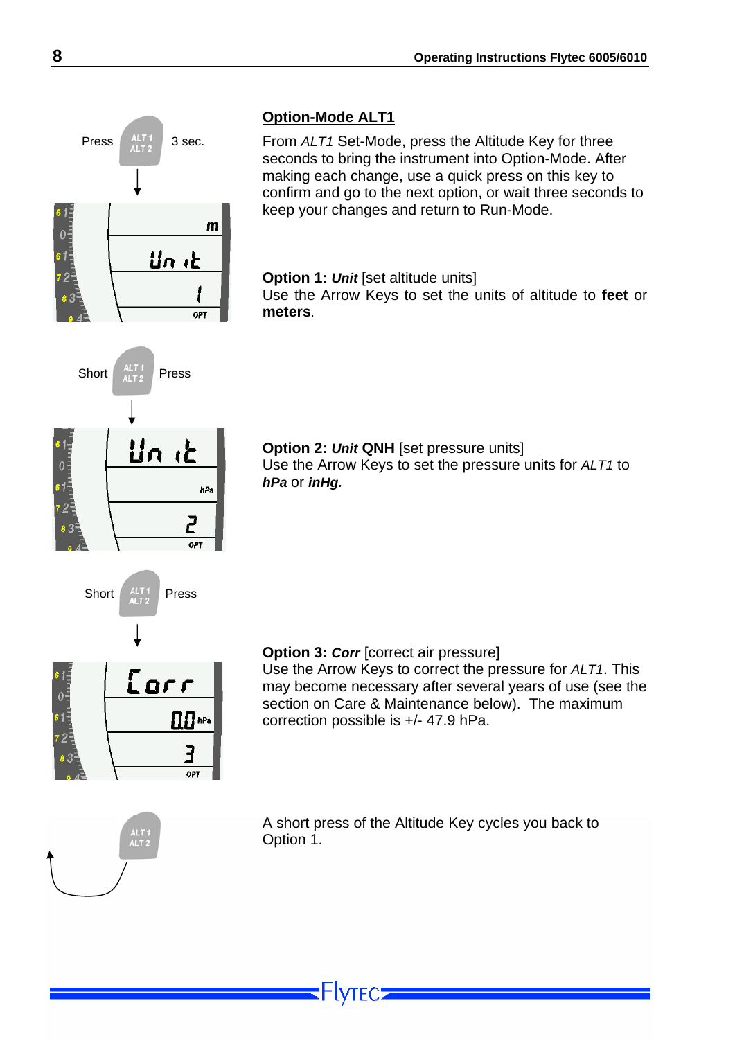<span id="page-8-0"></span>

#### **Option-Mode ALT1**

From *ALT1* Set-Mode, press the Altitude Key for three seconds to bring the instrument into Option-Mode. After making each change, use a quick press on this key to confirm and go to the next option, or wait three seconds to keep your changes and return to Run-Mode.

**Option 1: Unit [set altitude units]** Use the Arrow Keys to set the units of altitude to **feet** or **meters**.

**Option 2:** *Unit* **QNH** [set pressure units] Use the Arrow Keys to set the pressure units for *ALT1* to *hPa* or *inHg.*

#### **Option 3:** *Corr* [correct air pressure] Use the Arrow Keys to correct the pressure for *ALT1*. This may become necessary after several years of use (see the section on Care & Maintenance below). The maximum correction possible is +/- 47.9 hPa.



A short press of the Altitude Key cycles you back to Option 1.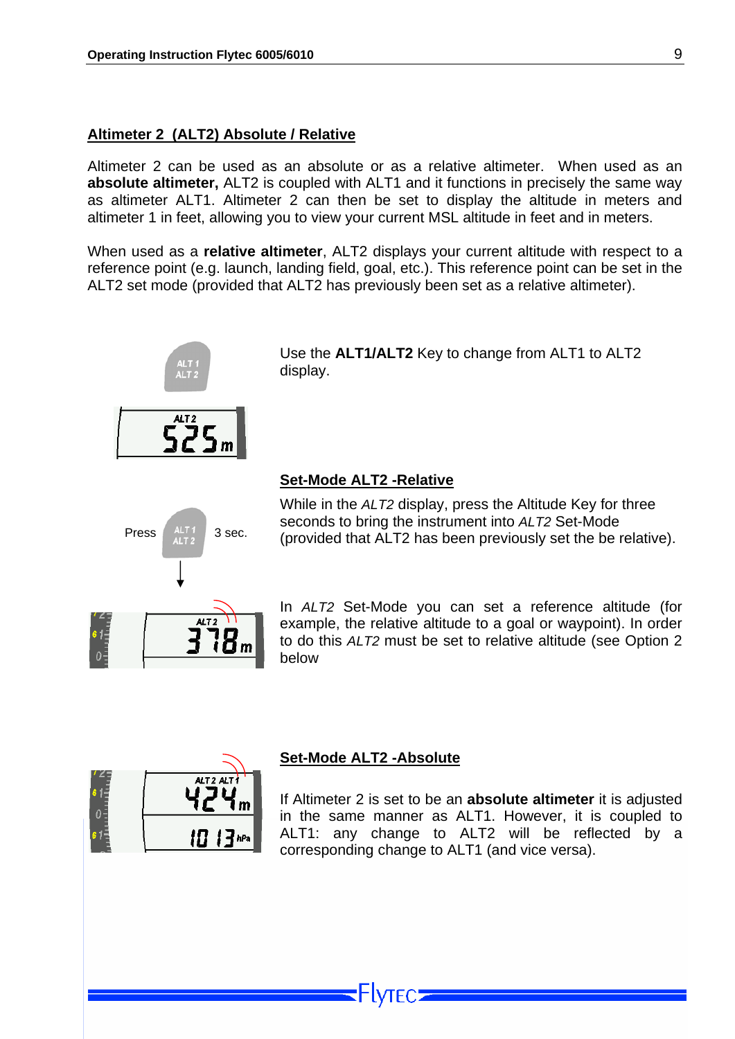#### <span id="page-9-0"></span>**Altimeter 2 (ALT2) Absolute / Relative**

Altimeter 2 can be used as an absolute or as a relative altimeter. When used as an **absolute altimeter,** ALT2 is coupled with ALT1 and it functions in precisely the same way as altimeter ALT1. Altimeter 2 can then be set to display the altitude in meters and altimeter 1 in feet, allowing you to view your current MSL altitude in feet and in meters.

When used as a **relative altimeter**, ALT2 displays your current altitude with respect to a reference point (e.g. launch, landing field, goal, etc.). This reference point can be set in the ALT2 set mode (provided that ALT2 has previously been set as a relative altimeter).



Use the **ALT1/ALT2** Key to change from ALT1 to ALT2 display.

#### **Set-Mode ALT2 -Relative**

While in the *ALT2* display, press the Altitude Key for three seconds to bring the instrument into *ALT2* Set-Mode Press  $\begin{bmatrix} 4LT_1 \\ 4LT_2 \end{bmatrix}$  3 sec. (provided that ALT2 has been previously set the be relative).



In *ALT2* Set-Mode you can set a reference altitude (for example, the relative altitude to a goal or waypoint). In order to do this *ALT2* must be set to relative altitude (see Option 2 below



#### **Set-Mode ALT2 -Absolute**

If Altimeter 2 is set to be an **absolute altimeter** it is adjusted in the same manner as ALT1. However, it is coupled to ALT1: any change to ALT2 will be reflected by a corresponding change to ALT1 (and vice versa).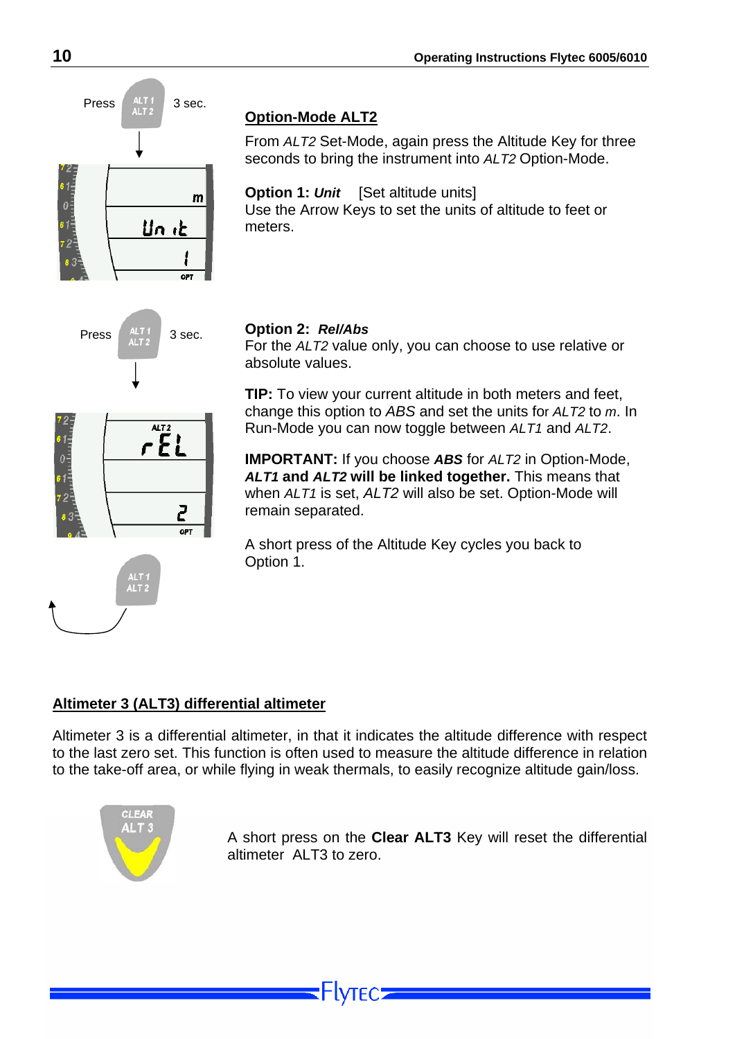<span id="page-10-0"></span>

#### **Option-Mode ALT2**

From *ALT2* Set-Mode, again press the Altitude Key for three seconds to bring the instrument into *ALT2* Option-Mode.

**Option 1: Unit** [Set altitude units] Use the Arrow Keys to set the units of altitude to feet or meters.



 $AT2$  $rEL$ 

> 2 OPT

For the *ALT2* value only, you can choose to use relative or absolute values.

**TIP:** To view your current altitude in both meters and feet, change this option to *ABS* and set the units for *ALT2* to *m*. In Run-Mode you can now toggle between *ALT1* and *ALT2*.

**IMPORTANT:** If you choose *ABS* for *ALT2* in Option-Mode, *ALT1* **and** *ALT2* **will be linked together.** This means that when *ALT1* is set, *ALT2* will also be set. Option-Mode will remain separated.

A short press of the Altitude Key cycles you back to Option 1.

#### **Altimeter 3 (ALT3) differential altimeter**

Altimeter 3 is a differential altimeter, in that it indicates the altitude difference with respect to the last zero set. This function is often used to measure the altitude difference in relation to the take-off area, or while flying in weak thermals, to easily recognize altitude gain/loss.

-IVTFC5



A short press on the **Clear ALT3** Key will reset the differential altimeter ALT3 to zero.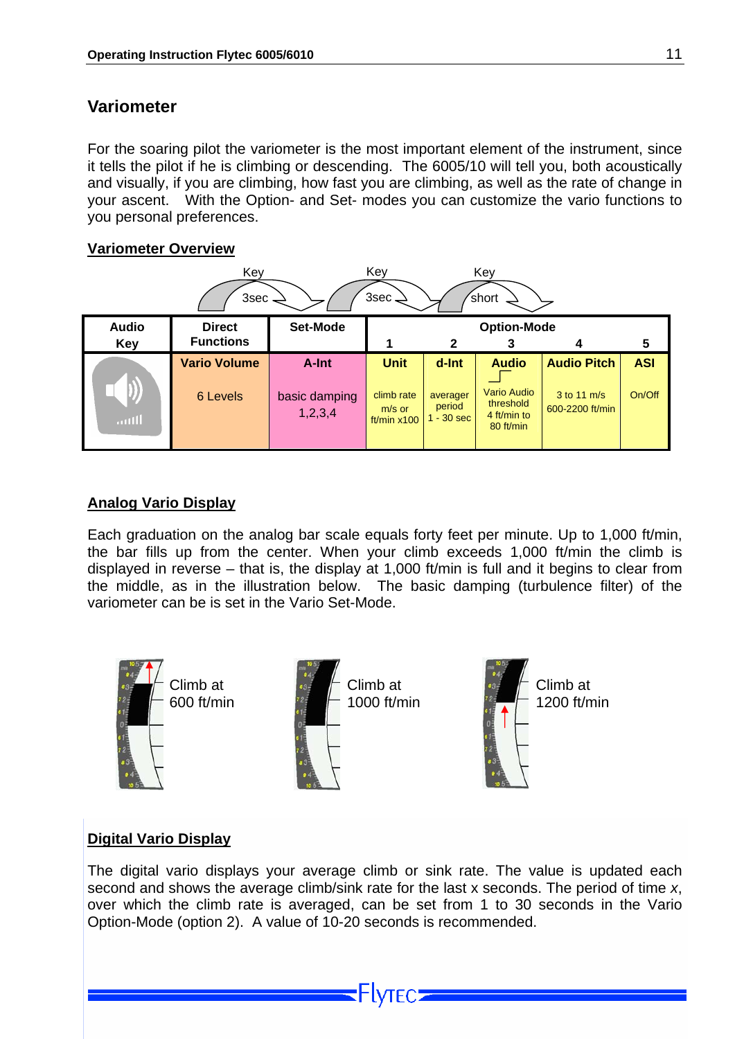#### <span id="page-11-0"></span>**Variometer**

For the soaring pilot the variometer is the most important element of the instrument, since it tells the pilot if he is climbing or descending. The 6005/10 will tell you, both acoustically and visually, if you are climbing, how fast you are climbing, as well as the rate of change in your ascent. With the Option- and Set- modes you can customize the vario functions to you personal preferences.

#### **Variometer Overview**

| Key<br>Key<br>Key<br>3sec.<br>short <sup>'</sup><br>3sec |                                   |                                                          |                                                        |                                             |                                                                             |                                                      |                      |  |  |
|----------------------------------------------------------|-----------------------------------|----------------------------------------------------------|--------------------------------------------------------|---------------------------------------------|-----------------------------------------------------------------------------|------------------------------------------------------|----------------------|--|--|
| <b>Audio</b><br><b>Key</b>                               | <b>Direct</b><br><b>Functions</b> | Set-Mode<br><b>Option-Mode</b><br>$\mathbf{2}$<br>4<br>3 |                                                        |                                             |                                                                             |                                                      |                      |  |  |
| $\boldsymbol{\mathcal{Y}}$<br>antil                      | <b>Vario Volume</b><br>6 Levels   | A-Int<br>basic damping<br>1,2,3,4                        | <b>Unit</b><br>climb rate<br>$m/s$ or<br>ft/min $x100$ | d-Int<br>averager<br>period<br>$1 - 30$ sec | <b>Audio</b><br><b>Vario Audio</b><br>threshold<br>4 ft/min to<br>80 ft/min | <b>Audio Pitch</b><br>3 to 11 m/s<br>600-2200 ft/min | <b>ASI</b><br>On/Off |  |  |

#### **Analog Vario Display**

Each graduation on the analog bar scale equals forty feet per minute. Up to 1,000 ft/min, the bar fills up from the center. When your climb exceeds 1,000 ft/min the climb is displayed in reverse – that is, the display at 1,000 ft/min is full and it begins to clear from the middle, as in the illustration below. The basic damping (turbulence filter) of the variometer can be is set in the Vario Set-Mode.



#### **Digital Vario Display**

The digital vario displays your average climb or sink rate. The value is updated each second and shows the average climb/sink rate for the last x seconds. The period of time *x*, over which the climb rate is averaged, can be set from 1 to 30 seconds in the Vario Option-Mode (option 2). A value of 10-20 seconds is recommended.

⊦lyтєс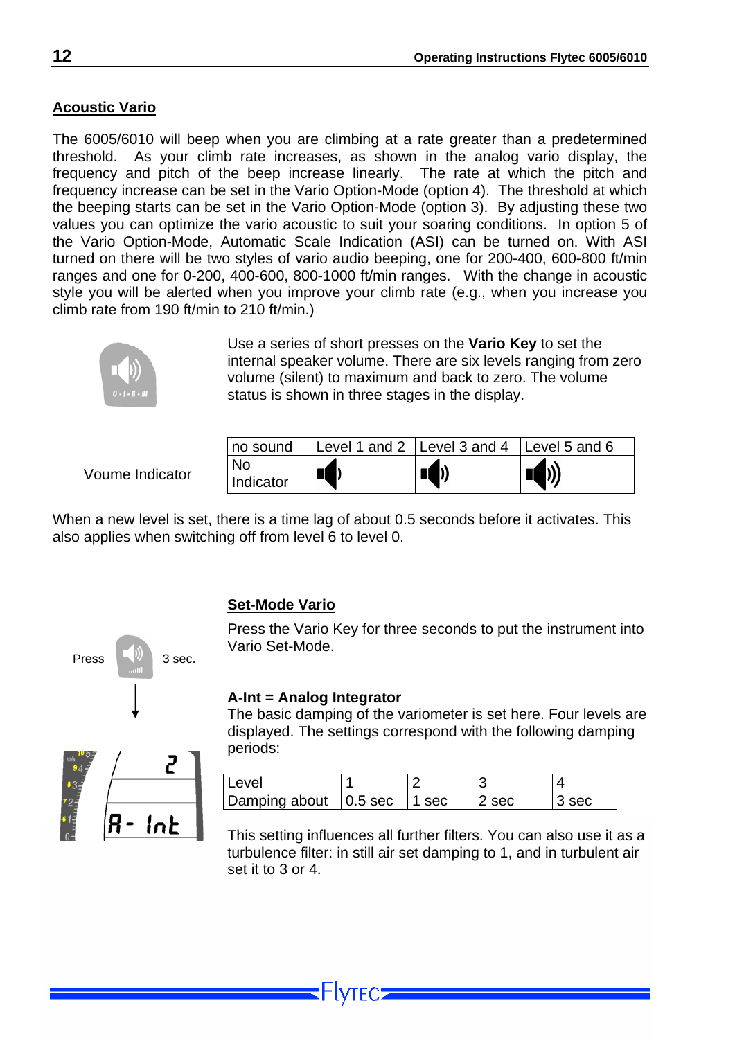#### <span id="page-12-0"></span>**Acoustic Vario**

The 6005/6010 will beep when you are climbing at a rate greater than a predetermined threshold. As your climb rate increases, as shown in the analog vario display, the frequency and pitch of the beep increase linearly. The rate at which the pitch and frequency increase can be set in the Vario Option-Mode (option 4). The threshold at which the beeping starts can be set in the Vario Option-Mode (option 3). By adjusting these two values you can optimize the vario acoustic to suit your soaring conditions. In option 5 of the Vario Option-Mode, Automatic Scale Indication (ASI) can be turned on. With ASI turned on there will be two styles of vario audio beeping, one for 200-400, 600-800 ft/min ranges and one for 0-200, 400-600, 800-1000 ft/min ranges. With the change in acoustic style you will be alerted when you improve your climb rate (e.g., when you increase you climb rate from 190 ft/min to 210 ft/min.)



Use a series of short presses on the **Vario Key** to set the internal speaker volume. There are six levels ranging from zero volume (silent) to maximum and back to zero. The volume status is shown in three stages in the display.

Voume Indicator

| no sound        | Level 1 and 2 Level 3 and 4 Level 5 and 6 |                      |
|-----------------|-------------------------------------------|----------------------|
| No<br>Indicator | b)                                        | $\blacktriangleleft$ |

When a new level is set, there is a time lag of about 0.5 seconds before it activates. This also applies when switching off from level 6 to level 0.



Press the Vario Key for three seconds to put the instrument into Vario Set-Mode.

#### **A-Int = Analog Integrator**

The basic damping of the variometer is set here. Four levels are displayed. The settings correspond with the following damping periods:

| ∟evel                         |         |     |  |
|-------------------------------|---------|-----|--|
| Damping about $\vert$ 0.5 sec | l 1 sec | sec |  |

This setting influences all further filters. You can also use it as a turbulence filter: in still air set damping to 1, and in turbulent air set it to 3 or 4.



Press  $\begin{array}{|c|c|c|c|c|}\n\hline\n\end{array}$  3 sec.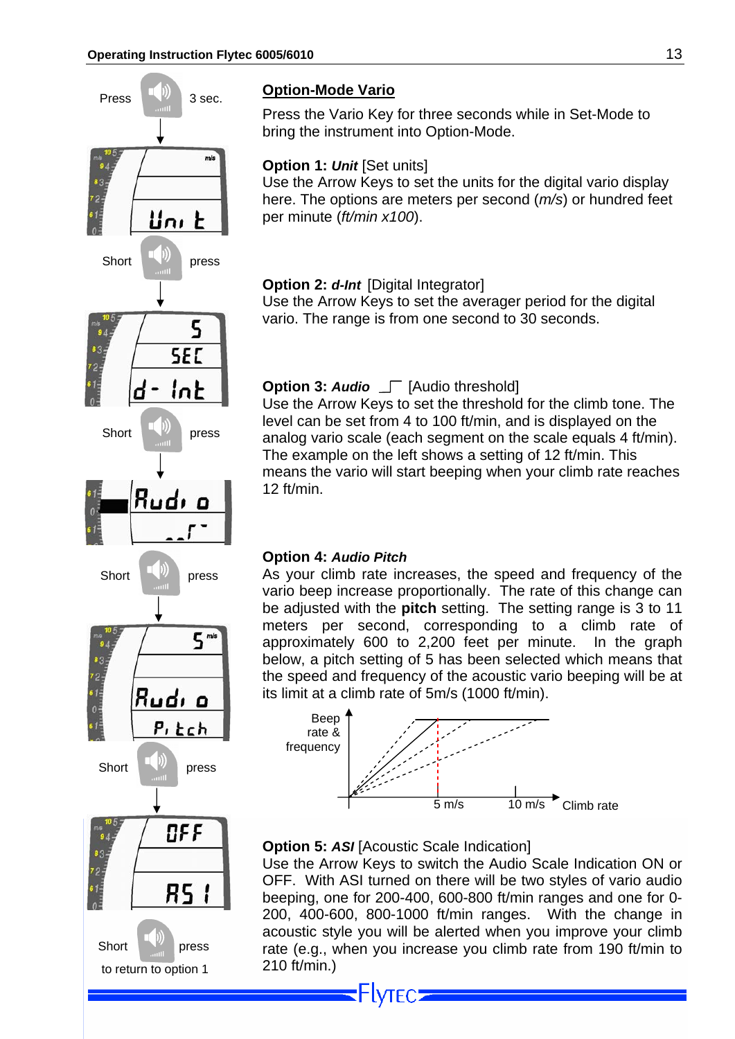<span id="page-13-0"></span>

Press the Vario Key for three seconds while in Set-Mode to bring the instrument into Option-Mode.

#### **Option 1: Unit [Set units]**

Use the Arrow Keys to set the units for the digital vario display here. The options are meters per second (*m/s*) or hundred feet per minute (*ft/min x100*).

#### **Option 2:** *d-Int* [Digital Integrator]

Use the Arrow Keys to set the averager period for the digital vario. The range is from one second to 30 seconds.

#### **Option 3: Audio**  $\Gamma$  [Audio threshold]

Use the Arrow Keys to set the threshold for the climb tone. The level can be set from 4 to 100 ft/min, and is displayed on the analog vario scale (each segment on the scale equals 4 ft/min). The example on the left shows a setting of 12 ft/min. This means the vario will start beeping when your climb rate reaches 12 ft/min.

#### **Option 4:** *Audio Pitch*

Short  $\begin{bmatrix} \blacksquare \\ \blacksquare \end{bmatrix}$  press As your climb rate increases, the speed and frequency of the vario beep increase proportionally. The rate of this change can be adjusted with the **pitch** setting. The setting range is 3 to 11 meters per second, corresponding to a climb rate of approximately 600 to 2,200 feet per minute. In the graph below, a pitch setting of 5 has been selected which means that the speed and frequency of the acoustic vario beeping will be at its limit at a climb rate of 5m/s (1000 ft/min).



#### **Option 5: ASI** [Acoustic Scale Indication]

**Flytec:** 

Use the Arrow Keys to switch the Audio Scale Indication ON or OFF. With ASI turned on there will be two styles of vario audio beeping, one for 200-400, 600-800 ft/min ranges and one for 0- 200, 400-600, 800-1000 ft/min ranges. With the change in acoustic style you will be alerted when you improve your climb rate (e.g., when you increase you climb rate from 190 ft/min to 210 ft/min.)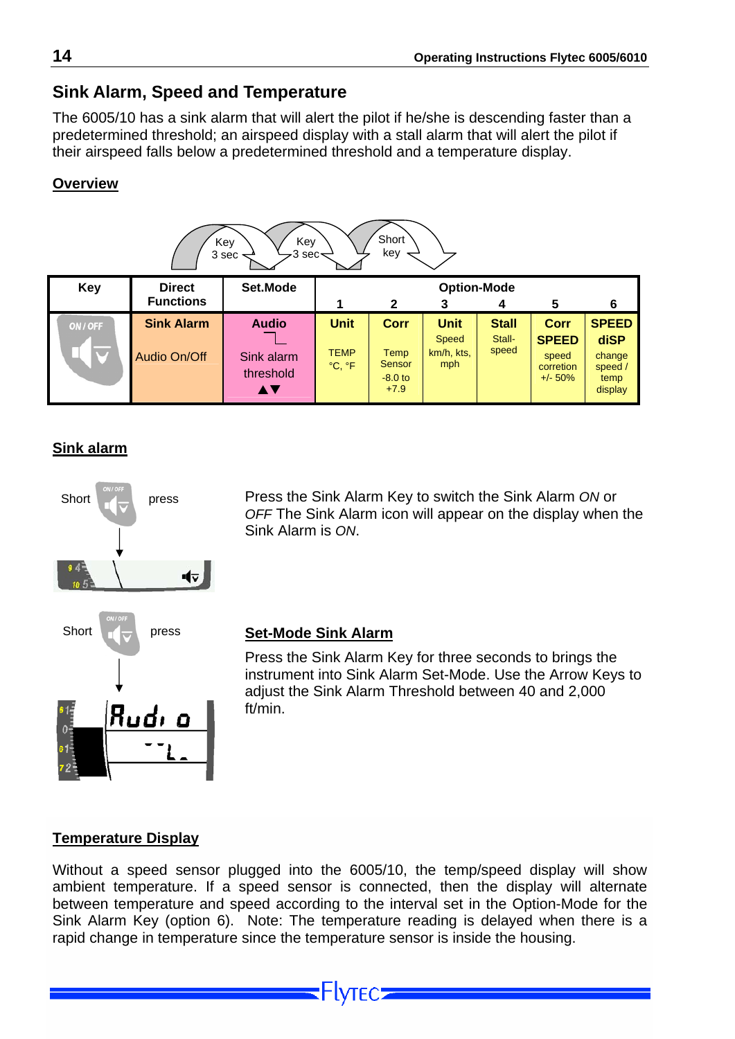#### <span id="page-14-0"></span>**Sink Alarm, Speed and Temperature**

The 6005/10 has a sink alarm that will alert the pilot if he/she is descending faster than a predetermined threshold; an airspeed display with a stall alarm that will alert the pilot if their airspeed falls below a predetermined threshold and a temperature display.

#### **Overview**

| Short<br>Key<br>Key<br>key<br>3 sec $\prec$<br>3 sec |                                   |                                               |                                      |                                               |                                           |                                 |                                                                 |                                                              |  |
|------------------------------------------------------|-----------------------------------|-----------------------------------------------|--------------------------------------|-----------------------------------------------|-------------------------------------------|---------------------------------|-----------------------------------------------------------------|--------------------------------------------------------------|--|
| <b>Key</b>                                           | <b>Direct</b>                     | Set.Mode                                      |                                      |                                               | <b>Option-Mode</b>                        |                                 |                                                                 |                                                              |  |
|                                                      | <b>Functions</b>                  |                                               |                                      | $\mathbf{2}$                                  | 3                                         | 4                               | 5                                                               | 6                                                            |  |
| ON / OFF                                             | <b>Sink Alarm</b><br>Audio On/Off | <b>Audio</b><br>Sink alarm<br>threshold<br>AV | <b>Unit</b><br><b>TEMP</b><br>°C, °F | Corr<br>Temp<br>Sensor<br>$-8.0$ to<br>$+7.9$ | <b>Unit</b><br>Speed<br>km/h, kts,<br>mph | <b>Stall</b><br>Stall-<br>speed | <b>Corr</b><br><b>SPEED</b><br>speed<br>corretion<br>$+/- 50\%$ | <b>SPEED</b><br>diSP<br>change<br>speed /<br>temp<br>display |  |

#### **Sink alarm**



Press the Sink Alarm Key to switch the Sink Alarm *ON* or *OFF* The Sink Alarm icon will appear on the display when the Sink Alarm is *ON*.

#### **Set-Mode Sink Alarm**

Press the Sink Alarm Key for three seconds to brings the instrument into Sink Alarm Set-Mode. Use the Arrow Keys to adjust the Sink Alarm Threshold between 40 and 2,000 ft/min.

#### **Temperature Display**

Without a speed sensor plugged into the 6005/10, the temp/speed display will show ambient temperature. If a speed sensor is connected, then the display will alternate between temperature and speed according to the interval set in the Option-Mode for the Sink Alarm Key (option 6). Note: The temperature reading is delayed when there is a rapid change in temperature since the temperature sensor is inside the housing.

-lvtec=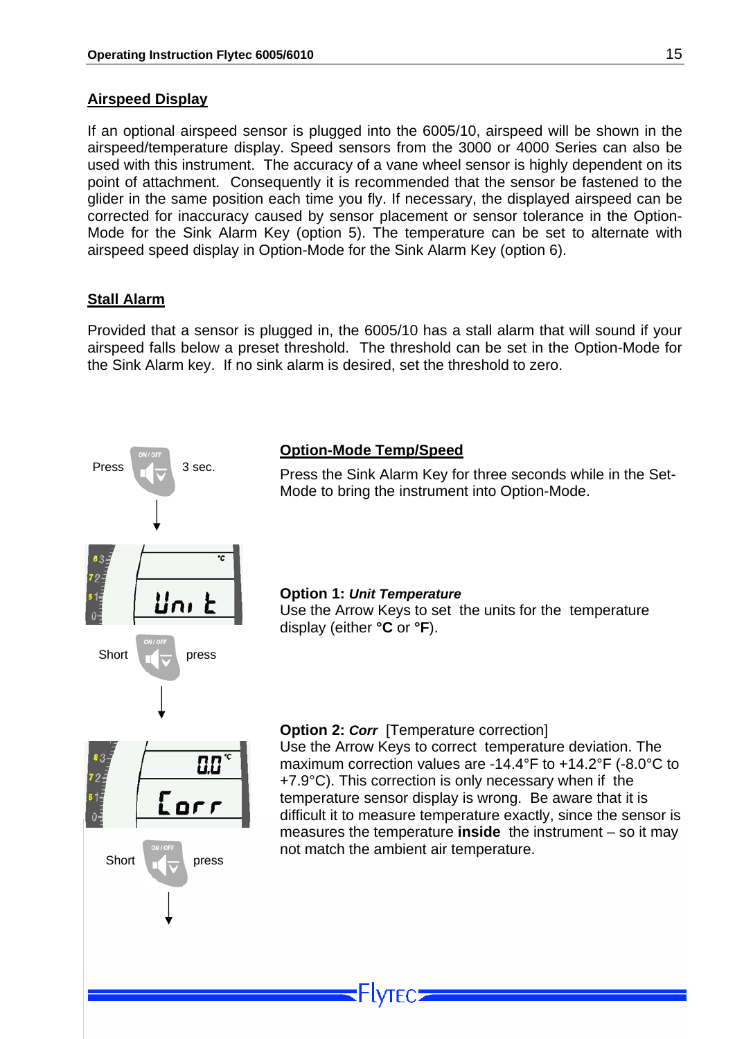#### <span id="page-15-0"></span>**Airspeed Display**

If an optional airspeed sensor is plugged into the 6005/10, airspeed will be shown in the airspeed/temperature display. Speed sensors from the 3000 or 4000 Series can also be used with this instrument. The accuracy of a vane wheel sensor is highly dependent on its point of attachment. Consequently it is recommended that the sensor be fastened to the glider in the same position each time you fly. If necessary, the displayed airspeed can be corrected for inaccuracy caused by sensor placement or sensor tolerance in the Option-Mode for the Sink Alarm Key (option 5). The temperature can be set to alternate with airspeed speed display in Option-Mode for the Sink Alarm Key (option 6).

#### **Stall Alarm**

Provided that a sensor is plugged in, the 6005/10 has a stall alarm that will sound if your airspeed falls below a preset threshold. The threshold can be set in the Option-Mode for the Sink Alarm key. If no sink alarm is desired, set the threshold to zero.

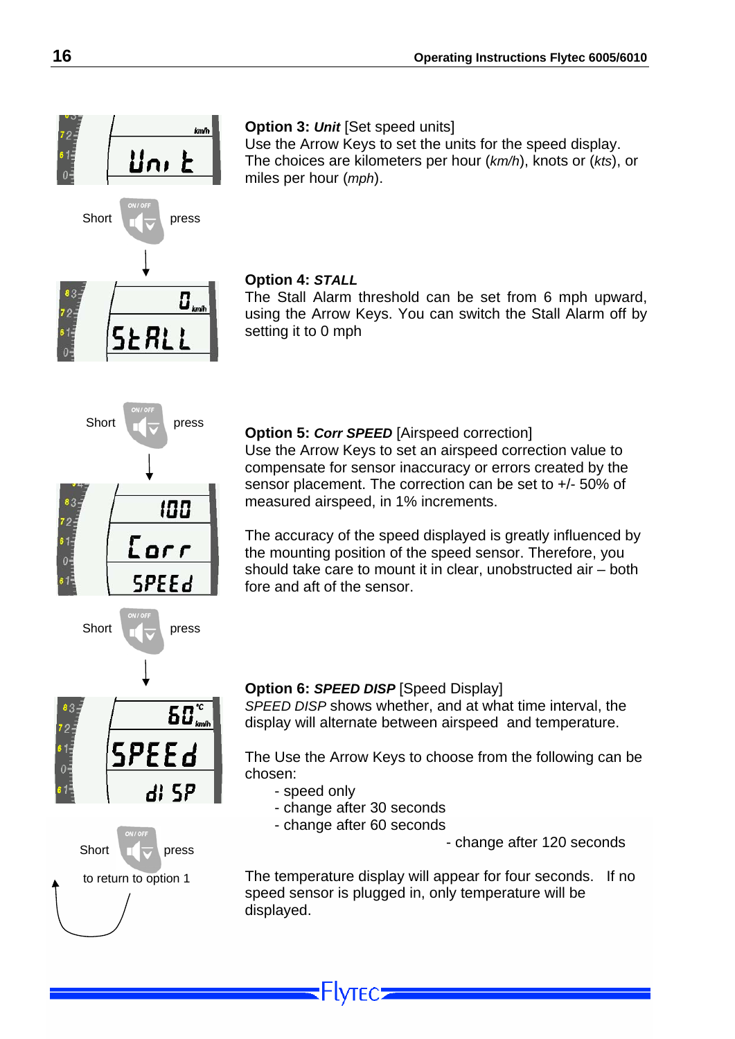#### **Option 3:** *Unit* [Set speed units]

Use the Arrow Keys to set the units for the speed display. The choices are kilometers per hour (*km/h*), knots or (*kts*), or miles per hour (*mph*).

#### **Option 4:** *STALL*

The Stall Alarm threshold can be set from 6 mph upward, using the Arrow Keys. You can switch the Stall Alarm off by setting it to 0 mph

Short **Press Option 5: Corr SPEED** [Airspeed correction]

Use the Arrow Keys to set an airspeed correction value to compensate for sensor inaccuracy or errors created by the sensor placement. The correction can be set to +/- 50% of measured airspeed, in 1% increments.

The accuracy of the speed displayed is greatly influenced by the mounting position of the speed sensor. Therefore, you should take care to mount it in clear, unobstructed air – both fore and aft of the sensor.

## $\overline{\mathbf{55}^{\circ}}_{\scriptscriptstyle{\mathsf{km}\mathsf{h}}}$ SPEEd di 5P

Short **press** 

100

Eorr

**SPEEd** 



#### **Option 6:** *SPEED DISP* [Speed Display]

*SPEED DISP* shows whether, and at what time interval, the display will alternate between airspeed and temperature.

The Use the Arrow Keys to choose from the following can be chosen:

- speed only
- change after 30 seconds
- change after 60 seconds

-lvtec:

 $\frac{1}{2}$  press extending the change after 120 seconds

 to return to option 1 The temperature display will appear for four seconds. If no speed sensor is plugged in, only temperature will be displayed.



SŁRLI

lan/h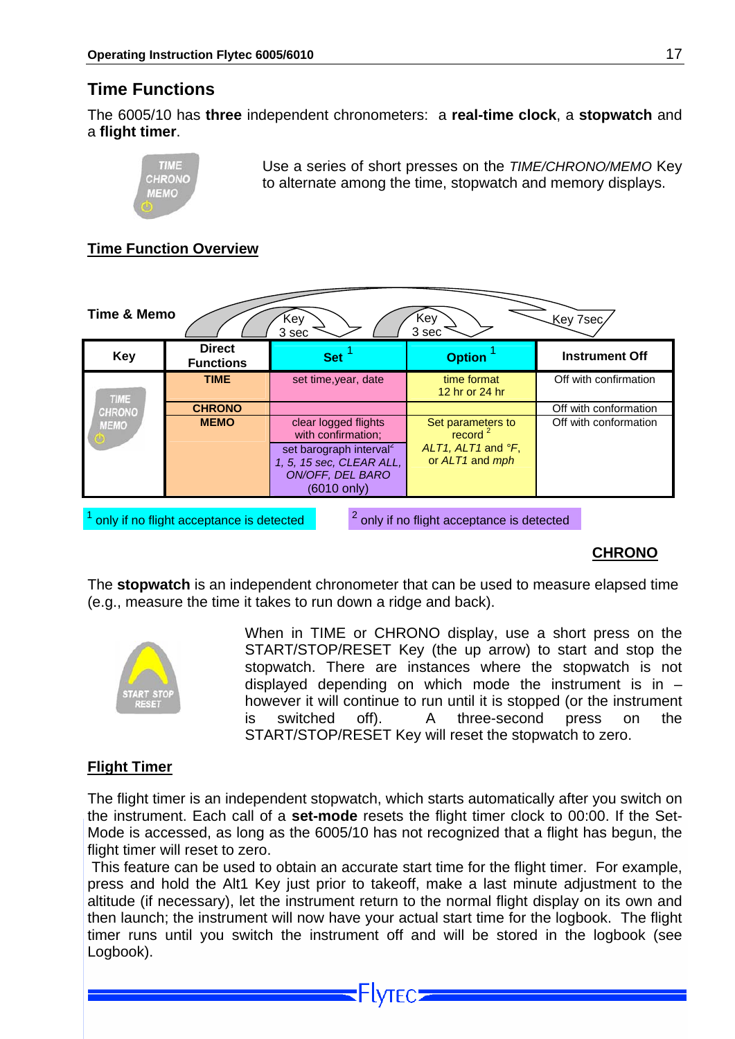#### <span id="page-17-0"></span>**Time Functions**

The 6005/10 has **three** independent chronometers: a **real-time clock**, a **stopwatch** and a **flight timer**.



Use a series of short presses on the *TIME/CHRONO/MEMO* Key to alternate among the time, stopwatch and memory displays.

#### **Time Function Overview**



<sup>1</sup> only if no flight acceptance is detected

 $2$  only if no flight acceptance is detected

#### **CHRONO**

The **stopwatch** is an independent chronometer that can be used to measure elapsed time (e.g., measure the time it takes to run down a ridge and back).



When in TIME or CHRONO display, use a short press on the START/STOP/RESET Key (the up arrow) to start and stop the stopwatch. There are instances where the stopwatch is not displayed depending on which mode the instrument is in  $$ however it will continue to run until it is stopped (or the instrument is switched off). A three-second press on the START/STOP/RESET Key will reset the stopwatch to zero.

#### **Flight Timer**

The flight timer is an independent stopwatch, which starts automatically after you switch on the instrument. Each call of a **set-mode** resets the flight timer clock to 00:00. If the Set-Mode is accessed, as long as the 6005/10 has not recognized that a flight has begun, the flight timer will reset to zero.

 This feature can be used to obtain an accurate start time for the flight timer. For example, press and hold the Alt1 Key just prior to takeoff, make a last minute adjustment to the altitude (if necessary), let the instrument return to the normal flight display on its own and then launch; the instrument will now have your actual start time for the logbook. The flight timer runs until you switch the instrument off and will be stored in the logbook (see Logbook).

**Flytec:**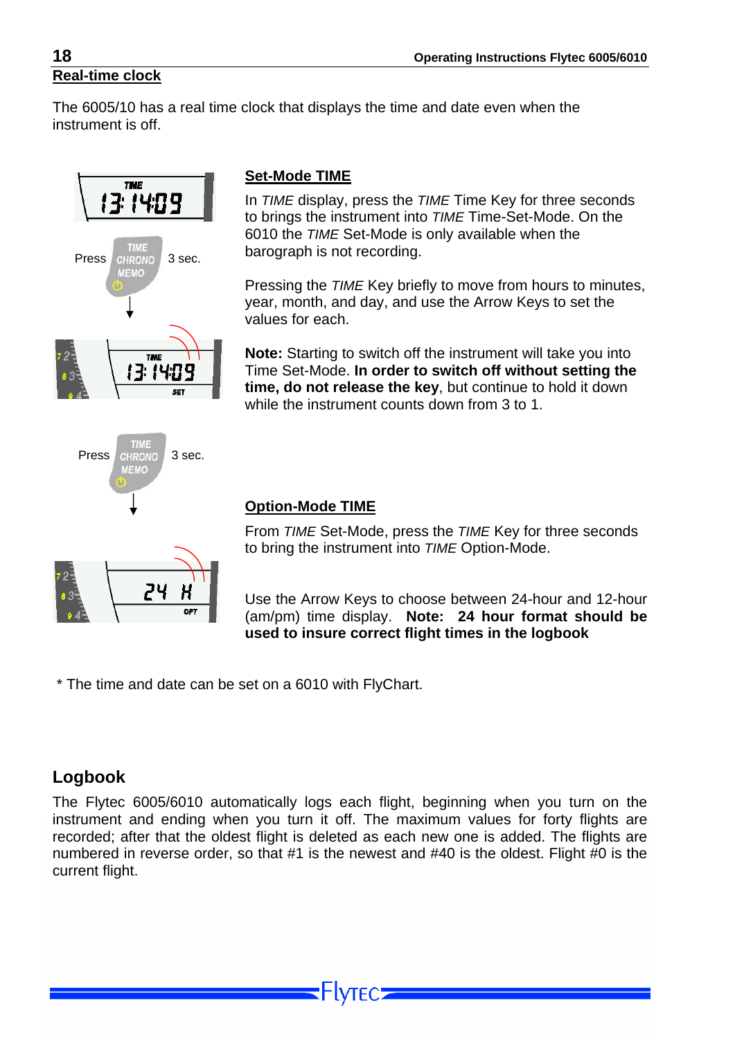<span id="page-18-0"></span>The 6005/10 has a real time clock that displays the time and date even when the instrument is off.







#### **Set-Mode TIME**

In *TIME* display, press the *TIME* Time Key for three seconds to brings the instrument into *TIME* Time-Set-Mode. On the 6010 the *TIME* Set-Mode is only available when the

Pressing the *TIME* Key briefly to move from hours to minutes, year, month, and day, and use the Arrow Keys to set the values for each.

**Note:** Starting to switch off the instrument will take you into Time Set-Mode. **In order to switch off without setting the time, do not release the key**, but continue to hold it down while the instrument counts down from 3 to 1.

#### **Option-Mode TIME**

From *TIME* Set-Mode, press the *TIME* Key for three seconds to bring the instrument into *TIME* Option-Mode.

Use the Arrow Keys to choose between 24-hour and 12-hour (am/pm) time display. **Note: 24 hour format should be used to insure correct flight times in the logbook**

\* The time and date can be set on a 6010 with FlyChart.

#### **Logbook**

The Flytec 6005/6010 automatically logs each flight, beginning when you turn on the instrument and ending when you turn it off. The maximum values for forty flights are recorded; after that the oldest flight is deleted as each new one is added. The flights are numbered in reverse order, so that #1 is the newest and #40 is the oldest. Flight #0 is the current flight.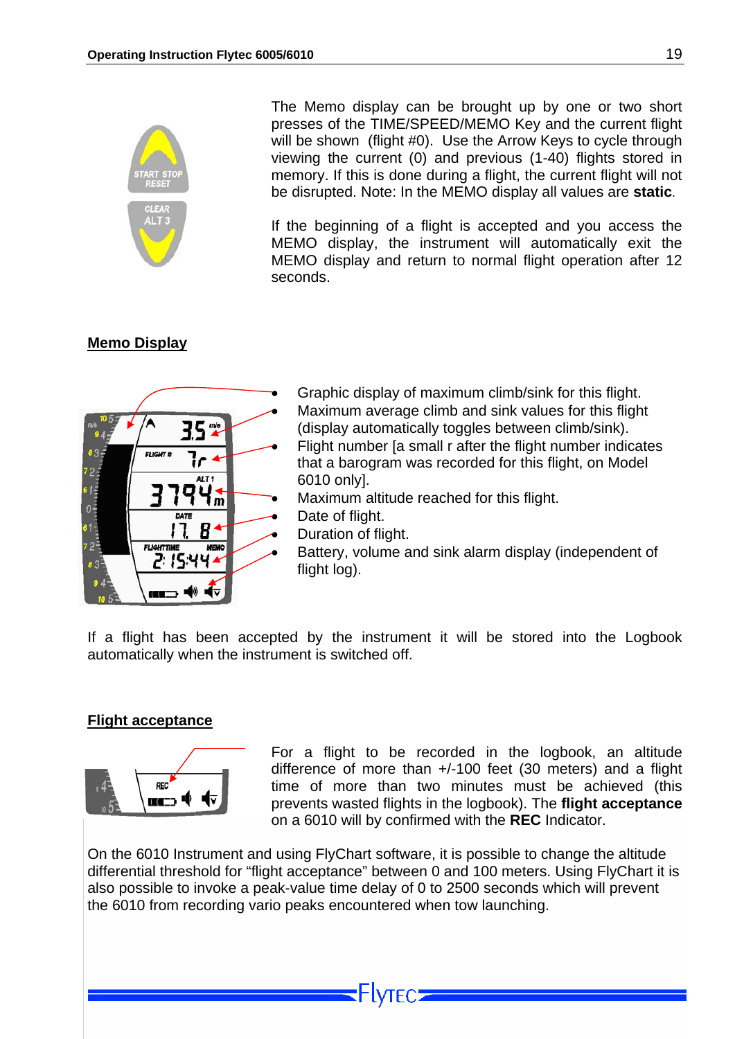<span id="page-19-0"></span>

The Memo display can be brought up by one or two short presses of the TIME/SPEED/MEMO Key and the current flight will be shown (flight #0). Use the Arrow Keys to cycle through viewing the current (0) and previous (1-40) flights stored in memory. If this is done during a flight, the current flight will not be disrupted. Note: In the MEMO display all values are **static**.

If the beginning of a flight is accepted and you access the MEMO display, the instrument will automatically exit the MEMO display and return to normal flight operation after 12 seconds.

#### **Memo Display**



- Graphic display of maximum climb/sink for this flight. Maximum average climb and sink values for this flight
- (display automatically toggles between climb/sink). • Flight number [a small r after the flight number indicates
- that a barogram was recorded for this flight, on Model 6010 only].
- Maximum altitude reached for this flight.
- Date of flight.
- Duration of flight.
- Battery, volume and sink alarm display (independent of flight log).

If a flight has been accepted by the instrument it will be stored into the Logbook automatically when the instrument is switched off.

#### **Flight acceptance**

<span id="page-19-1"></span>

For a flight to be recorded in the logbook, an altitude difference of more than +/-100 feet (30 meters) and a flight time of more than two minutes must be achieved (this prevents wasted flights in the logbook). The **flight acceptance** on a 6010 will by confirmed with the **REC** Indicator.

On the 6010 Instrument and using FlyChart software, it is possible to change the altitude differential threshold for "flight acceptance" between 0 and 100 meters. Using FlyChart it is also possible to invoke a peak-value time delay of 0 to 2500 seconds which will prevent the 6010 from recording vario peaks encountered when tow launching.

**Flytec:**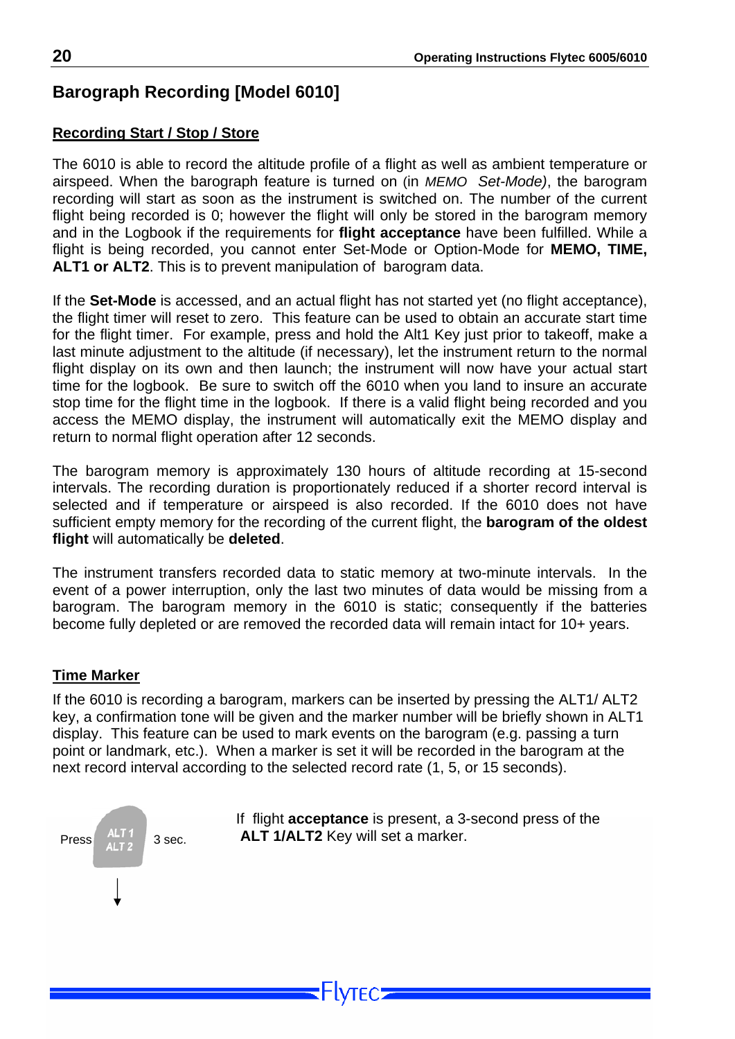## <span id="page-20-0"></span>**Barograph Recording [Model 6010]**

#### **Recording Start / Stop / Store**

The 6010 is able to record the altitude profile of a flight as well as ambient temperature or airspeed. When the barograph feature is turned on (in *MEMO Set-Mode)*, the barogram recording will start as soon as the instrument is switched on. The number of the current flight being recorded is 0; however the flight will only be stored in the barogram memory and in the Logbook if the requirements for **flight acceptance** have been fulfilled. While a flight is being recorded, you cannot enter Set-Mode or Option-Mode for **MEMO, TIME, ALT1 or ALT2**. This is to prevent manipulation of barogram data.

If the **Set-Mode** is accessed, and an actual flight has not started yet (no flight acceptance), the flight timer will reset to zero. This feature can be used to obtain an accurate start time for the flight timer. For example, press and hold the Alt1 Key just prior to takeoff, make a last minute adjustment to the altitude (if necessary), let the instrument return to the normal flight display on its own and then launch; the instrument will now have your actual start time for the logbook. Be sure to switch off the 6010 when you land to insure an accurate stop time for the flight time in the logbook. If there is a valid flight being recorded and you access the MEMO display, the instrument will automatically exit the MEMO display and return to normal flight operation after 12 seconds.

The barogram memory is approximately 130 hours of altitude recording at 15-second intervals. The recording duration is proportionately reduced if a shorter record interval is selected and if temperature or airspeed is also recorded. If the 6010 does not have sufficient empty memory for the recording of the current flight, the **barogram of the oldest flight** will automatically be **deleted**.

The instrument transfers recorded data to static memory at two-minute intervals. In the event of a power interruption, only the last two minutes of data would be missing from a barogram. The barogram memory in the 6010 is static; consequently if the batteries become fully depleted or are removed the recorded data will remain intact for 10+ years.

#### **Time Marker**

If the 6010 is recording a barogram, markers can be inserted by pressing the ALT1/ ALT2 key, a confirmation tone will be given and the marker number will be briefly shown in ALT1 display. This feature can be used to mark events on the barogram (e.g. passing a turn point or landmark, etc.). When a marker is set it will be recorded in the barogram at the next record interval according to the selected record rate (1, 5, or 15 seconds).



**NTFC.**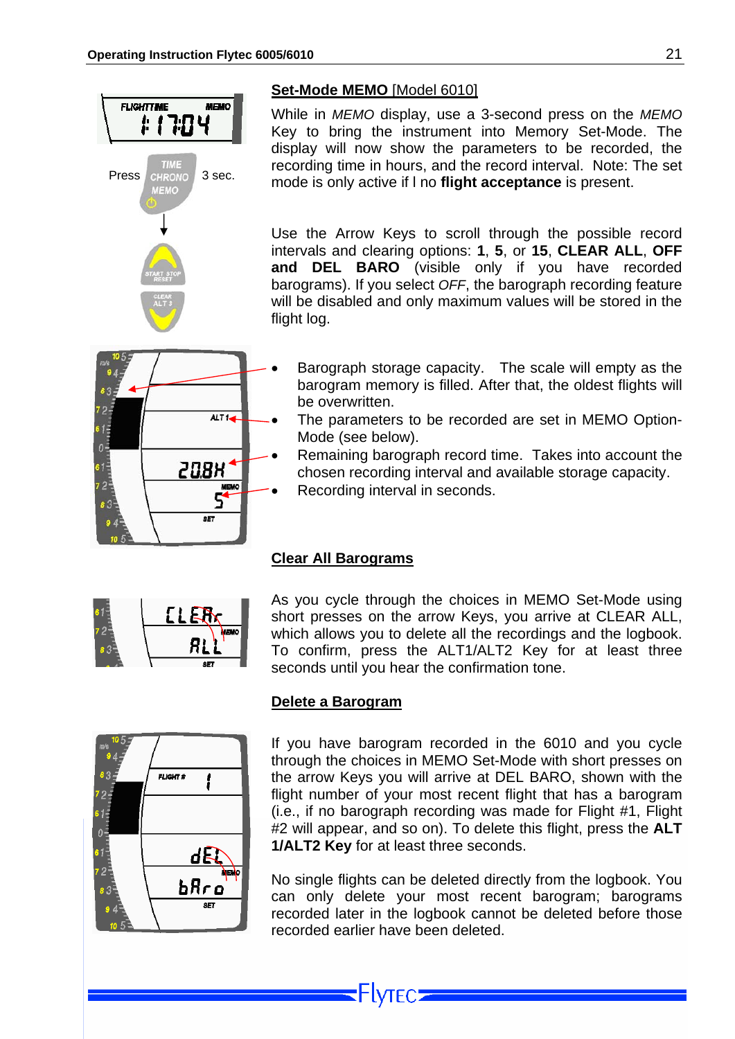<span id="page-21-0"></span>

#### **Set-Mode MEMO** [Model 6010]

While in *MEMO* display, use a 3-second press on the *MEMO* Key to bring the instrument into Memory Set-Mode. The display will now show the parameters to be recorded, the recording time in hours, and the record interval. Note: The set TIME recording time in hours, and the record interval. Note:<br>
MEMO **3** sec. mode is only active if I no **flight acceptance** is present.

> Use the Arrow Keys to scroll through the possible record intervals and clearing options: **1**, **5**, or **15**, **CLEAR ALL**, **OFF and DEL BARO** (visible only if you have recorded barograms). If you select *OFF*, the barograph recording feature will be disabled and only maximum values will be stored in the flight log.



- Barograph storage capacity. The scale will empty as the barogram memory is filled. After that, the oldest flights will be overwritten.
- The parameters to be recorded are set in MEMO Option-Mode (see below).
- Remaining barograph record time. Takes into account the chosen recording interval and available storage capacity.
- Recording interval in seconds.

# EL ER<sub>K</sub>

#### **Clear All Barograms**

As you cycle through the choices in MEMO Set-Mode using short presses on the arrow Keys, you arrive at CLEAR ALL, which allows you to delete all the recordings and the logbook. To confirm, press the ALT1/ALT2 Key for at least three seconds until you hear the confirmation tone.



#### **Delete a Barogram**

If you have barogram recorded in the 6010 and you cycle through the choices in MEMO Set-Mode with short presses on the arrow Keys you will arrive at DEL BARO, shown with the flight number of your most recent flight that has a barogram (i.e., if no barograph recording was made for Flight #1, Flight #2 will appear, and so on). To delete this flight, press the **ALT 1/ALT2 Key** for at least three seconds.

No single flights can be deleted directly from the logbook. You can only delete your most recent barogram; barograms recorded later in the logbook cannot be deleted before those recorded earlier have been deleted.

⊦lγτεc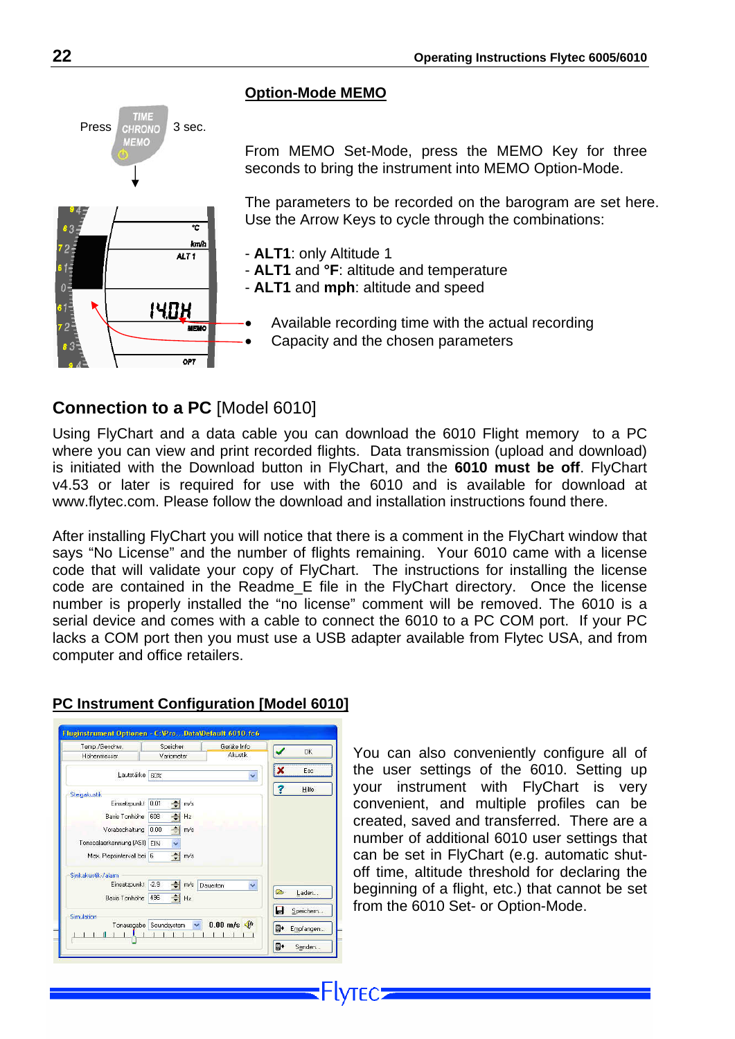#### **Option-Mode MEMO**

From MEMO Set-Mode, press the MEMO Key for three seconds to bring the instrument into MEMO Option-Mode.

The parameters to be recorded on the barogram are set here. Use the Arrow Keys to cycle through the combinations:

- **ALT1**: only Altitude 1
- **ALT1** and **°F**: altitude and temperature
- **ALT1** and **mph**: altitude and speed
- Available recording time with the actual recording
- Capacity and the chosen parameters

#### **Connection to a PC** [Model 6010]

ᡒ kmh

**MEMO** 

ALT<sub>1</sub>

140H

Using FlyChart and a data cable you can download the 6010 Flight memory to a PC where you can view and print recorded flights. Data transmission (upload and download) is initiated with the Download button in FlyChart, and the **6010 must be off**. FlyChart v4.53 or later is required for use with the 6010 and is available for download at www.flytec.com. Please follow the download and installation instructions found there.

After installing FlyChart you will notice that there is a comment in the FlyChart window that says "No License" and the number of flights remaining. Your 6010 came with a license code that will validate your copy of FlyChart. The instructions for installing the license code are contained in the Readme\_E file in the FlyChart directory. Once the license number is properly installed the "no license" comment will be removed. The 6010 is a serial device and comes with a cable to connect the 6010 to a PC COM port. If your PC lacks a COM port then you must use a USB adapter available from Flytec USA, and from computer and office retailers.

-lvtec=

| Temp./Geschw.             | Speicher                               | Geräte Info           |    |           |
|---------------------------|----------------------------------------|-----------------------|----|-----------|
| Höhenmesser               | <b>Akustik</b><br>Variometer           |                       |    | OK        |
| Lautstärke                | 60%                                    | Ÿ                     | x  | Esc       |
| Steigakustik              |                                        |                       | R  | Hilfe     |
| Einsatzpunkt              | 0.01<br>≐<br>m/s                       |                       |    |           |
| <b>Basis Tonhöhe</b>      | 608<br>÷<br>Hz                         |                       |    |           |
| Vorabschaltung            | 0.00<br>m/s                            |                       |    |           |
| Tonscalaerkennung [ASI]   | Q<br><b>EIN</b>                        |                       |    |           |
| Max. Piepsintervall bei 6 | $\Rightarrow$ m/s                      |                       |    |           |
| Sinkakustik-/alarm        |                                        |                       |    |           |
| Einsatzpunkt              | $-2.9$<br>칍<br>m/s                     | Dauerton<br>v         | ⋐  |           |
| Basis Tonhöhe             | 쉬<br>496<br>Hz                         |                       |    | Laden     |
| Simulation                |                                        |                       | Н  | Speichern |
| Tonausgabe                | Soundsystem<br>$\overline{\mathbf{v}}$ | $0.00$ m/s $\sqrt{t}$ | g. | Empfangen |
|                           |                                        |                       | g. | Senden    |

#### **PC Instrument Configuration [Model 6010]**

You can also conveniently configure all of the user settings of the 6010. Setting up your instrument with FlyChart is very convenient, and multiple profiles can be created, saved and transferred. There are a number of additional 6010 user settings that can be set in FlyChart (e.g. automatic shutoff time, altitude threshold for declaring the beginning of a flight, etc.) that cannot be set from the 6010 Set- or Option-Mode.

83,

 $2<sub>z</sub>$ 

<span id="page-22-0"></span>Press CHRONO 3 sec.

MEMO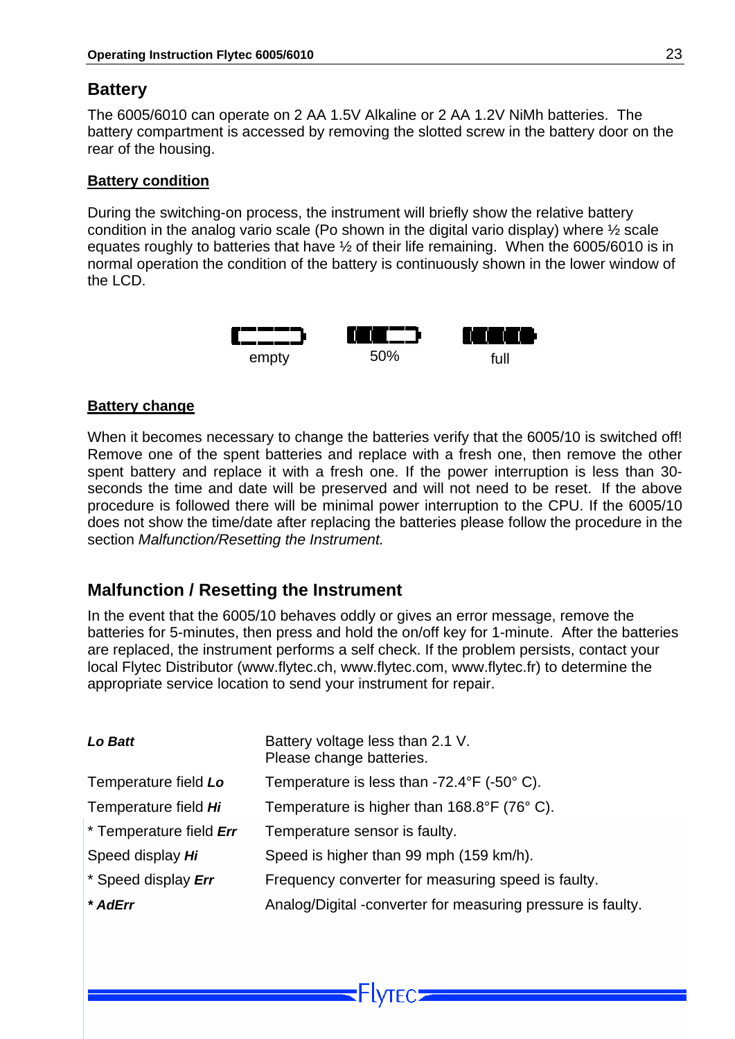#### <span id="page-23-0"></span>**Battery**

The 6005/6010 can operate on 2 AA 1.5V Alkaline or 2 AA 1.2V NiMh batteries. The battery compartment is accessed by removing the slotted screw in the battery door on the rear of the housing.

#### **Battery condition**

During the switching-on process, the instrument will briefly show the relative battery condition in the analog vario scale (Po shown in the digital vario display) where ½ scale equates roughly to batteries that have ½ of their life remaining. When the 6005/6010 is in normal operation the condition of the battery is continuously shown in the lower window of the LCD.



#### **Battery change**

When it becomes necessary to change the batteries verify that the 6005/10 is switched off! Remove one of the spent batteries and replace with a fresh one, then remove the other spent battery and replace it with a fresh one. If the power interruption is less than 30 seconds the time and date will be preserved and will not need to be reset. If the above procedure is followed there will be minimal power interruption to the CPU. If the 6005/10 does not show the time/date after replacing the batteries please follow the procedure in the section *Malfunction/Resetting the Instrument.* 

#### **Malfunction / Resetting the Instrument**

In the event that the 6005/10 behaves oddly or gives an error message, remove the batteries for 5-minutes, then press and hold the on/off key for 1-minute. After the batteries are replaced, the instrument performs a self check. If the problem persists, contact your local Flytec Distributor (www.flytec.ch, www.flytec.com, www.flytec.fr) to determine the appropriate service location to send your instrument for repair.

| Lo Batt                 | Battery voltage less than 2.1 V.<br>Please change batteries.   |
|-------------------------|----------------------------------------------------------------|
| Temperature field Lo    | Temperature is less than $-72.4^{\circ}F$ ( $-50^{\circ}C$ ).  |
| Temperature field Hi    | Temperature is higher than $168.8^{\circ}F$ (76 $^{\circ}$ C). |
| * Temperature field Err | Temperature sensor is faulty.                                  |
| Speed display Hi        | Speed is higher than 99 mph (159 km/h).                        |
| * Speed display Err     | Frequency converter for measuring speed is faulty.             |
| * AdErr                 | Analog/Digital -converter for measuring pressure is faulty.    |

Hytec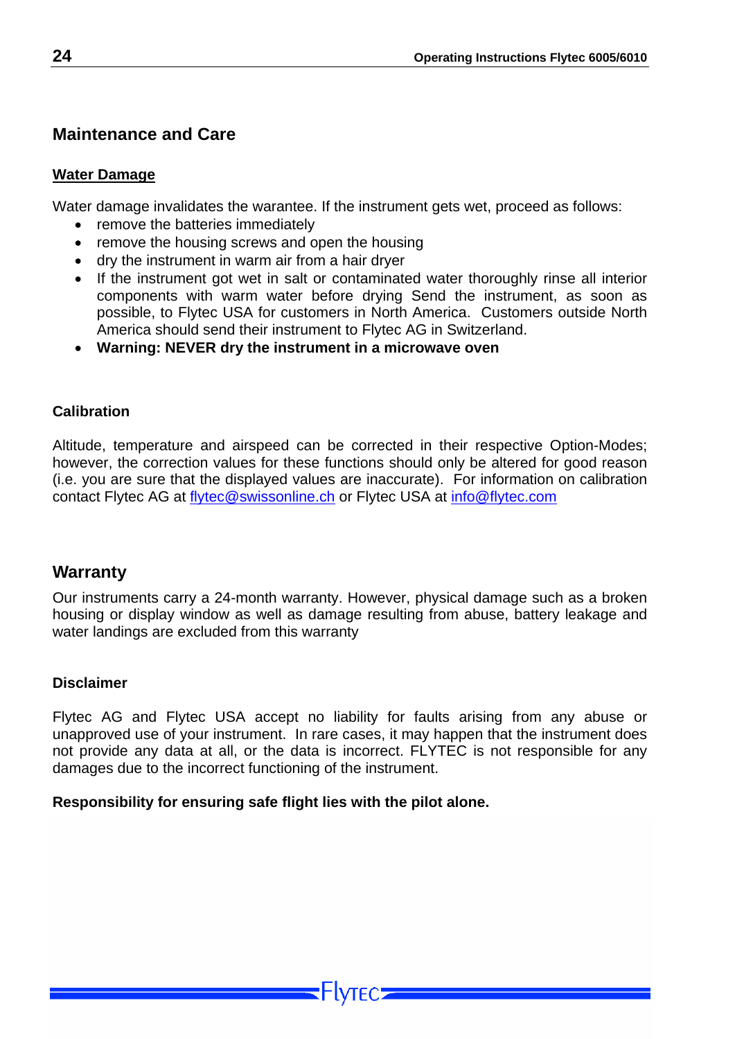#### <span id="page-24-0"></span>**Maintenance and Care**

#### **Water Damage**

Water damage invalidates the warantee. If the instrument gets wet, proceed as follows:

- remove the batteries immediately
- remove the housing screws and open the housing
- dry the instrument in warm air from a hair dryer
- If the instrument got wet in salt or contaminated water thoroughly rinse all interior components with warm water before drying Send the instrument, as soon as possible, to Flytec USA for customers in North America. Customers outside North America should send their instrument to Flytec AG in Switzerland.
- **Warning: NEVER dry the instrument in a microwave oven**

#### **Calibration**

Altitude, temperature and airspeed can be corrected in their respective Option-Modes; however, the correction values for these functions should only be altered for good reason (i.e. you are sure that the displayed values are inaccurate). For information on calibration contact Flytec AG at [flytec@swissonline.ch](mailto:Flytec@swissonline.ch) or Flytec USA at [info@flytec.com](mailto:info@flytec.com)

#### **Warranty**

Our instruments carry a 24-month warranty. However, physical damage such as a broken housing or display window as well as damage resulting from abuse, battery leakage and water landings are excluded from this warranty

#### **Disclaimer**

Flytec AG and Flytec USA accept no liability for faults arising from any abuse or unapproved use of your instrument. In rare cases, it may happen that the instrument does not provide any data at all, or the data is incorrect. FLYTEC is not responsible for any damages due to the incorrect functioning of the instrument.

#### **Responsibility for ensuring safe flight lies with the pilot alone.**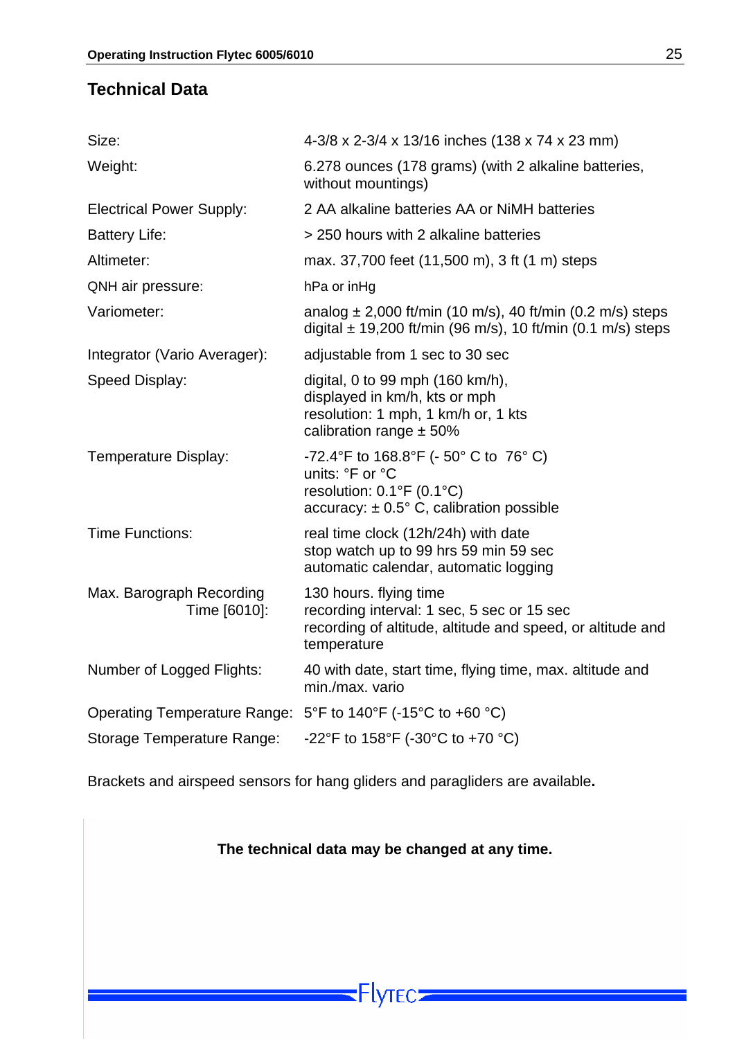#### <span id="page-25-0"></span>**Technical Data**

| Size:                                                       | 4-3/8 x 2-3/4 x 13/16 inches (138 x 74 x 23 mm)                                                                                                    |
|-------------------------------------------------------------|----------------------------------------------------------------------------------------------------------------------------------------------------|
| Weight:                                                     | 6.278 ounces (178 grams) (with 2 alkaline batteries,<br>without mountings)                                                                         |
| <b>Electrical Power Supply:</b>                             | 2 AA alkaline batteries AA or NiMH batteries                                                                                                       |
| <b>Battery Life:</b>                                        | > 250 hours with 2 alkaline batteries                                                                                                              |
| Altimeter:                                                  | max. 37,700 feet (11,500 m), 3 ft (1 m) steps                                                                                                      |
| QNH air pressure:                                           | hPa or inHg                                                                                                                                        |
| Variometer:                                                 | analog $\pm$ 2,000 ft/min (10 m/s), 40 ft/min (0.2 m/s) steps<br>digital $\pm$ 19,200 ft/min (96 m/s), 10 ft/min (0.1 m/s) steps                   |
| Integrator (Vario Averager):                                | adjustable from 1 sec to 30 sec                                                                                                                    |
| Speed Display:                                              | digital, 0 to 99 mph (160 km/h),<br>displayed in km/h, kts or mph<br>resolution: 1 mph, 1 km/h or, 1 kts<br>calibration range $\pm$ 50%            |
| Temperature Display:                                        | -72.4°F to 168.8°F (- 50°C to 76°C)<br>units: °F or °C<br>resolution: $0.1^{\circ}F(0.1^{\circ}C)$<br>accuracy: $\pm$ 0.5° C, calibration possible |
| <b>Time Functions:</b>                                      | real time clock (12h/24h) with date<br>stop watch up to 99 hrs 59 min 59 sec<br>automatic calendar, automatic logging                              |
| Max. Barograph Recording<br>Time [6010]:                    | 130 hours. flying time<br>recording interval: 1 sec, 5 sec or 15 sec<br>recording of altitude, altitude and speed, or altitude and<br>temperature  |
| Number of Logged Flights:                                   | 40 with date, start time, flying time, max. altitude and<br>min./max. vario                                                                        |
| Operating Temperature Range: 5°F to 140°F (-15°C to +60 °C) |                                                                                                                                                    |
| Storage Temperature Range:                                  | -22°F to 158°F (-30°C to +70 °C)                                                                                                                   |
|                                                             |                                                                                                                                                    |

Brackets and airspeed sensors for hang gliders and paragliders are available**.** 

 $\overline{\phantom{a}}$   $\overline{\phantom{a}}$   $\overline{\phantom{a}}$   $\overline{\phantom{a}}$   $\overline{\phantom{a}}$   $\overline{\phantom{a}}$   $\overline{\phantom{a}}$   $\overline{\phantom{a}}$   $\overline{\phantom{a}}$   $\overline{\phantom{a}}$   $\overline{\phantom{a}}$   $\overline{\phantom{a}}$   $\overline{\phantom{a}}$   $\overline{\phantom{a}}$   $\overline{\phantom{a}}$   $\overline{\phantom{a}}$   $\overline{\phantom{a}}$   $\overline{\phantom{a}}$   $\overline{\$ 

**The technical data may be changed at any time.**